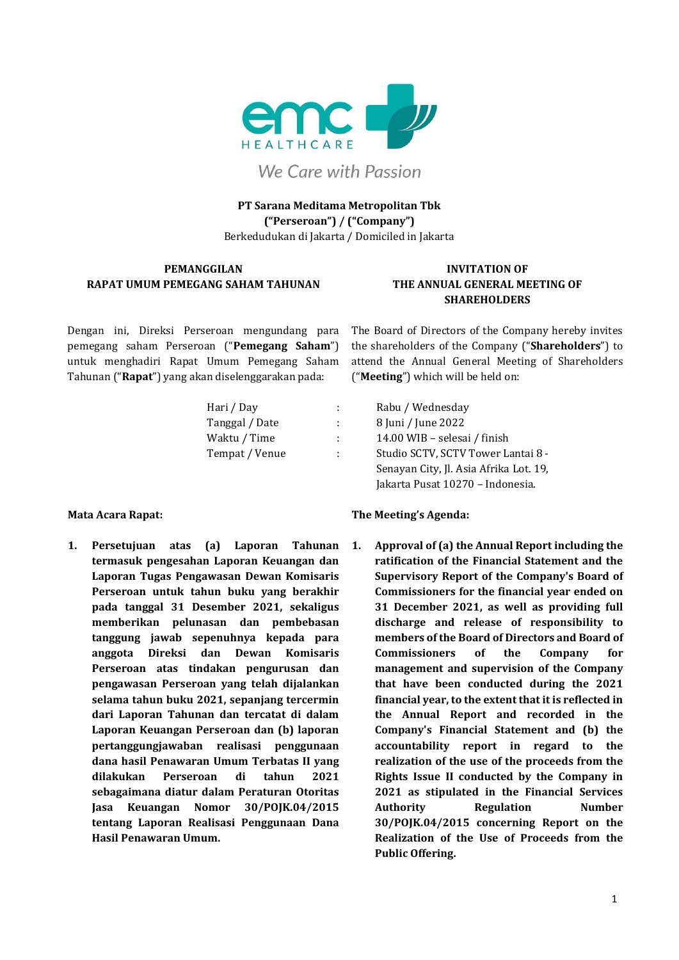

We Care with Passion

### **PT Sarana Meditama Metropolitan Tbk ("Perseroan") / ("Company")** Berkedudukan di Jakarta / Domiciled in Jakarta

### **PEMANGGILAN RAPAT UMUM PEMEGANG SAHAM TAHUNAN**

### **INVITATION OF THE ANNUAL GENERAL MEETING OF SHAREHOLDERS**

Dengan ini, Direksi Perseroan mengundang para pemegang saham Perseroan ("**Pemegang Saham**") untuk menghadiri Rapat Umum Pemegang Saham Tahunan ("**Rapat**") yang akan diselenggarakan pada:

The Board of Directors of the Company hereby invites the shareholders of the Company ("**Shareholders**") to attend the Annual General Meeting of Shareholders ("**Meeting**") which will be held on:

| Hari / Day     | ÷. | Rabu / Wednesday                       |
|----------------|----|----------------------------------------|
| Tanggal / Date | ÷  | 8 Juni / June 2022                     |
| Waktu / Time   | ÷  | 14.00 WIB - selesai / finish           |
| Tempat / Venue | ÷  | Studio SCTV, SCTV Tower Lantai 8 -     |
|                |    | Senayan City, Jl. Asia Afrika Lot. 19, |
|                |    | Jakarta Pusat 10270 - Indonesia.       |

**1. Persetujuan atas (a) Laporan Tahunan termasuk pengesahan Laporan Keuangan dan Laporan Tugas Pengawasan Dewan Komisaris Perseroan untuk tahun buku yang berakhir pada tanggal 31 Desember 2021, sekaligus memberikan pelunasan dan pembebasan tanggung jawab sepenuhnya kepada para anggota Direksi dan Dewan Komisaris Perseroan atas tindakan pengurusan dan pengawasan Perseroan yang telah dijalankan selama tahun buku 2021, sepanjang tercermin dari Laporan Tahunan dan tercatat di dalam Laporan Keuangan Perseroan dan (b) laporan pertanggungjawaban realisasi penggunaan dana hasil Penawaran Umum Terbatas II yang dilakukan Perseroan di tahun 2021 sebagaimana diatur dalam Peraturan Otoritas Jasa Keuangan Nomor 30/POJK.04/2015 tentang Laporan Realisasi Penggunaan Dana Hasil Penawaran Umum.**

### **Mata Acara Rapat: The Meeting's Agenda:**

**1. Approval of (a) the Annual Report including the ratification of the Financial Statement and the Supervisory Report of the Company's Board of Commissioners for the financial year ended on 31 December 2021, as well as providing full discharge and release of responsibility to members of the Board of Directors and Board of Commissioners of the Company for management and supervision of the Company that have been conducted during the 2021 financial year, to the extent that it is reflected in the Annual Report and recorded in the Company's Financial Statement and (b) the accountability report in regard to the realization of the use of the proceeds from the Rights Issue II conducted by the Company in 2021 as stipulated in the Financial Services Authority Regulation Number 30/POJK.04/2015 concerning Report on the Realization of the Use of Proceeds from the Public Offering.**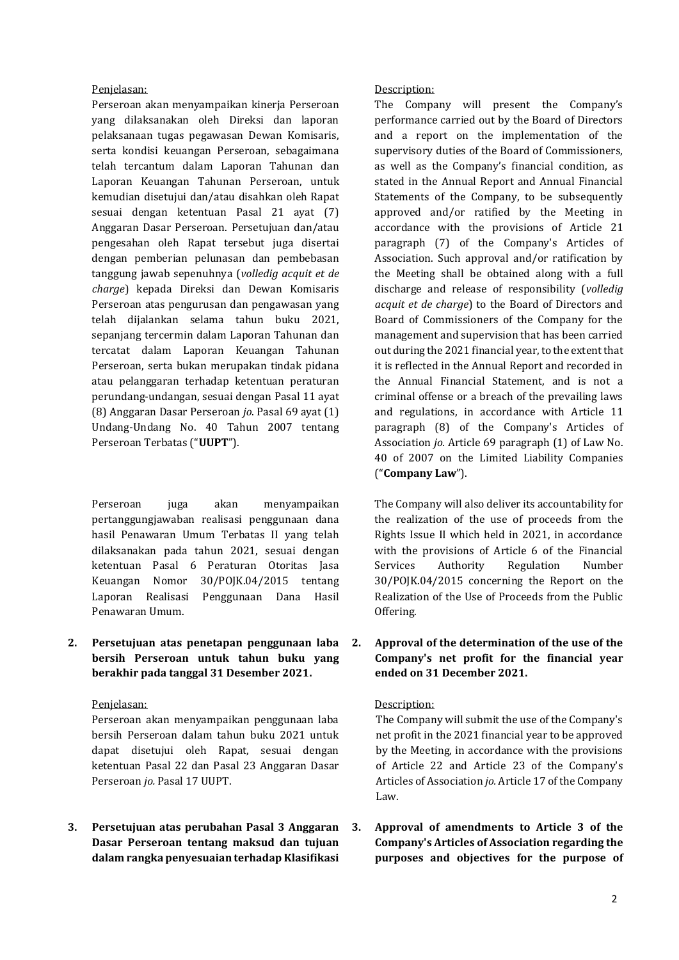Perseroan akan menyampaikan kinerja Perseroan yang dilaksanakan oleh Direksi dan laporan pelaksanaan tugas pegawasan Dewan Komisaris, serta kondisi keuangan Perseroan, sebagaimana telah tercantum dalam Laporan Tahunan dan Laporan Keuangan Tahunan Perseroan, untuk kemudian disetujui dan/atau disahkan oleh Rapat sesuai dengan ketentuan Pasal 21 ayat (7) Anggaran Dasar Perseroan. Persetujuan dan/atau pengesahan oleh Rapat tersebut juga disertai dengan pemberian pelunasan dan pembebasan tanggung jawab sepenuhnya (*volledig acquit et de charge*) kepada Direksi dan Dewan Komisaris Perseroan atas pengurusan dan pengawasan yang telah dijalankan selama tahun buku 2021, sepanjang tercermin dalam Laporan Tahunan dan tercatat dalam Laporan Keuangan Tahunan Perseroan, serta bukan merupakan tindak pidana atau pelanggaran terhadap ketentuan peraturan perundang-undangan, sesuai dengan Pasal 11 ayat (8) Anggaran Dasar Perseroan *jo*. Pasal 69 ayat (1) Undang-Undang No. 40 Tahun 2007 tentang Perseroan Terbatas ("**UUPT**").

Perseroan juga akan menyampaikan pertanggungjawaban realisasi penggunaan dana hasil Penawaran Umum Terbatas II yang telah dilaksanakan pada tahun 2021, sesuai dengan ketentuan Pasal 6 Peraturan Otoritas Jasa Keuangan Nomor 30/POJK.04/2015 tentang Laporan Realisasi Penggunaan Dana Hasil Penawaran Umum.

**2. Persetujuan atas penetapan penggunaan laba bersih Perseroan untuk tahun buku yang berakhir pada tanggal 31 Desember 2021.**

Perseroan akan menyampaikan penggunaan laba bersih Perseroan dalam tahun buku 2021 untuk dapat disetujui oleh Rapat, sesuai dengan ketentuan Pasal 22 dan Pasal 23 Anggaran Dasar Perseroan *jo.* Pasal 17 UUPT.

**3. Persetujuan atas perubahan Pasal 3 Anggaran Dasar Perseroan tentang maksud dan tujuan dalam rangka penyesuaian terhadap Klasifikasi** 

Penjelasan: Description:

The Company will present the Company's performance carried out by the Board of Directors and a report on the implementation of the supervisory duties of the Board of Commissioners, as well as the Company's financial condition, as stated in the Annual Report and Annual Financial Statements of the Company, to be subsequently approved and/or ratified by the Meeting in accordance with the provisions of Article 21 paragraph (7) of the Company's Articles of Association. Such approval and/or ratification by the Meeting shall be obtained along with a full discharge and release of responsibility (*volledig acquit et de charge*) to the Board of Directors and Board of Commissioners of the Company for the management and supervision that has been carried out during the 2021 financial year, to the extent that it is reflected in the Annual Report and recorded in the Annual Financial Statement, and is not a criminal offense or a breach of the prevailing laws and regulations, in accordance with Article 11 paragraph (8) of the Company's Articles of Association *jo.* Article 69 paragraph (1) of Law No. 40 of 2007 on the Limited Liability Companies ("**Company Law**").

The Company will also deliver its accountability for the realization of the use of proceeds from the Rights Issue II which held in 2021, in accordance with the provisions of Article 6 of the Financial Services Authority Regulation Number 30/POJK.04/2015 concerning the Report on the Realization of the Use of Proceeds from the Public Offering.

### **2. Approval of the determination of the use of the Company's net profit for the financial year ended on 31 December 2021.**

#### Penjelasan: Description:

The Company will submit the use of the Company's net profit in the 2021 financial year to be approved by the Meeting, in accordance with the provisions of Article 22 and Article 23 of the Company's Articles of Association *jo.* Article 17 of the Company Law.

**3. Approval of amendments to Article 3 of the Company's Articles of Association regarding the purposes and objectives for the purpose of**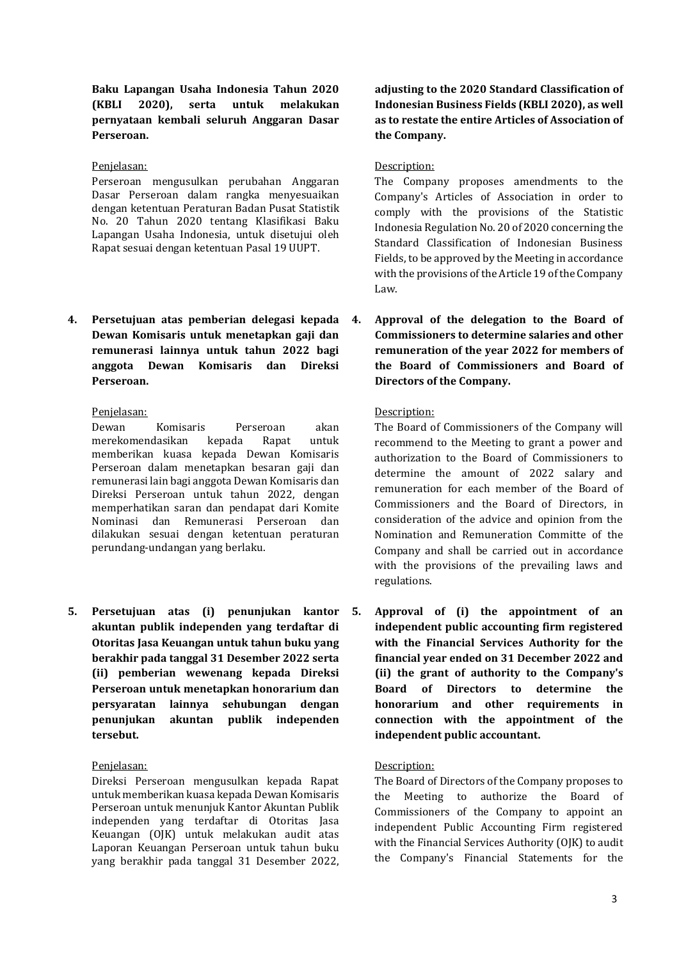**Baku Lapangan Usaha Indonesia Tahun 2020 (KBLI 2020), serta untuk melakukan pernyataan kembali seluruh Anggaran Dasar Perseroan.**

Perseroan mengusulkan perubahan Anggaran Dasar Perseroan dalam rangka menyesuaikan dengan ketentuan Peraturan Badan Pusat Statistik No. 20 Tahun 2020 tentang Klasifikasi Baku Lapangan Usaha Indonesia, untuk disetujui oleh Rapat sesuai dengan ketentuan Pasal 19 UUPT.

**4. Persetujuan atas pemberian delegasi kepada Dewan Komisaris untuk menetapkan gaji dan remunerasi lainnya untuk tahun 2022 bagi anggota Dewan Komisaris dan Direksi Perseroan.**

Dewan Komisaris Perseroan akan merekomendasikan kepada Rapat untuk memberikan kuasa kepada Dewan Komisaris Perseroan dalam menetapkan besaran gaji dan remunerasi lain bagi anggota Dewan Komisaris dan Direksi Perseroan untuk tahun 2022, dengan memperhatikan saran dan pendapat dari Komite Nominasi dan Remunerasi Perseroan dan dilakukan sesuai dengan ketentuan peraturan perundang-undangan yang berlaku.

**5. Persetujuan atas (i) penunjukan kantor akuntan publik independen yang terdaftar di Otoritas Jasa Keuangan untuk tahun buku yang berakhir pada tanggal 31 Desember 2022 serta (ii) pemberian wewenang kepada Direksi Perseroan untuk menetapkan honorarium dan persyaratan lainnya sehubungan dengan penunjukan akuntan publik independen tersebut.**

Direksi Perseroan mengusulkan kepada Rapat untuk memberikan kuasa kepada Dewan Komisaris Perseroan untuk menunjuk Kantor Akuntan Publik independen yang terdaftar di Otoritas Jasa Keuangan (OJK) untuk melakukan audit atas Laporan Keuangan Perseroan untuk tahun buku yang berakhir pada tanggal 31 Desember 2022,

**adjusting to the 2020 Standard Classification of Indonesian Business Fields (KBLI 2020), as well as to restate the entire Articles of Association of the Company.**

#### Penjelasan: Description:

The Company proposes amendments to the Company's Articles of Association in order to comply with the provisions of the Statistic Indonesia Regulation No. 20 of 2020 concerning the Standard Classification of Indonesian Business Fields, to be approved by the Meeting in accordance with the provisions of the Article 19 of the Company Law.

**4. Approval of the delegation to the Board of Commissioners to determine salaries and other remuneration of the year 2022 for members of the Board of Commissioners and Board of Directors of the Company.**

### Penjelasan: Description:

The Board of Commissioners of the Company will recommend to the Meeting to grant a power and authorization to the Board of Commissioners to determine the amount of 2022 salary and remuneration for each member of the Board of Commissioners and the Board of Directors, in consideration of the advice and opinion from the Nomination and Remuneration Committe of the Company and shall be carried out in accordance with the provisions of the prevailing laws and regulations.

**5. Approval of (i) the appointment of an independent public accounting firm registered with the Financial Services Authority for the financial year ended on 31 December 2022 and (ii) the grant of authority to the Company's Board of Directors to determine the honorarium and other requirements in connection with the appointment of the independent public accountant.**

#### Penjelasan: Description:

The Board of Directors of the Company proposes to the Meeting to authorize the Board of Commissioners of the Company to appoint an independent Public Accounting Firm registered with the Financial Services Authority (OJK) to audit the Company's Financial Statements for the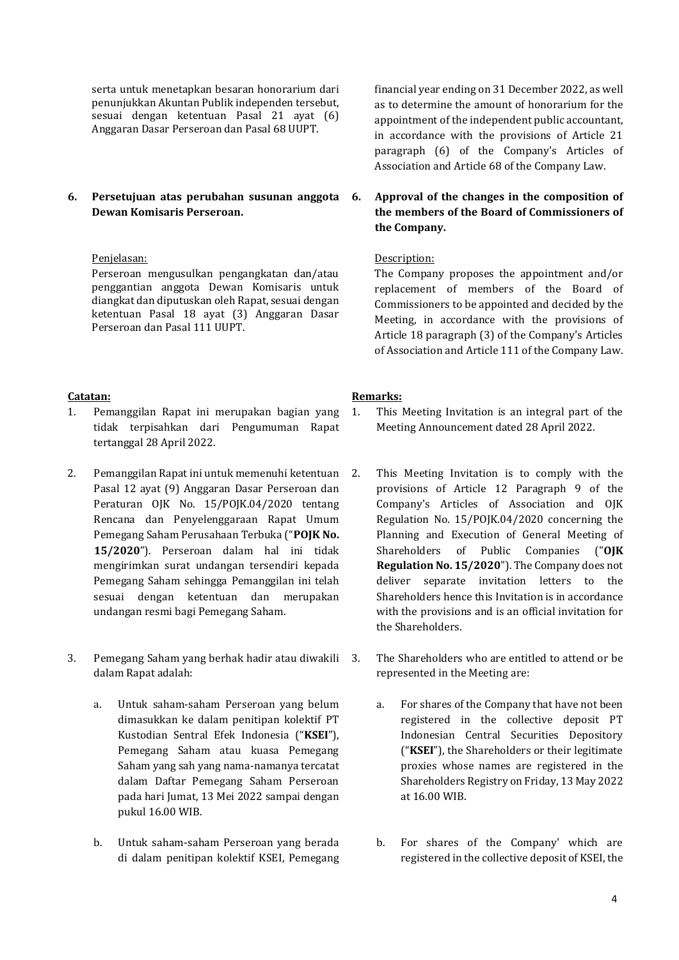serta untuk menetapkan besaran honorarium dari penunjukkan Akuntan Publik independen tersebut, sesuai dengan ketentuan Pasal 21 ayat (6) Anggaran Dasar Perseroan dan Pasal 68 UUPT.

### **6. Persetujuan atas perubahan susunan anggota Dewan Komisaris Perseroan.**

Perseroan mengusulkan pengangkatan dan/atau penggantian anggota Dewan Komisaris untuk diangkat dan diputuskan oleh Rapat, sesuai dengan ketentuan Pasal 18 ayat (3) Anggaran Dasar Perseroan dan Pasal 111 UUPT.

- 1. Pemanggilan Rapat ini merupakan bagian yang tidak terpisahkan dari Pengumuman Rapat tertanggal 28 April 2022.
- 2. Pemanggilan Rapat ini untuk memenuhi ketentuan Pasal 12 ayat (9) Anggaran Dasar Perseroan dan Peraturan OJK No. 15/POJK.04/2020 tentang Rencana dan Penyelenggaraan Rapat Umum Pemegang Saham Perusahaan Terbuka ("**POJK No. 15/2020**"). Perseroan dalam hal ini tidak mengirimkan surat undangan tersendiri kepada Pemegang Saham sehingga Pemanggilan ini telah sesuai dengan ketentuan dan merupakan undangan resmi bagi Pemegang Saham.
- 3. Pemegang Saham yang berhak hadir atau diwakili dalam Rapat adalah:
	- a. Untuk saham-saham Perseroan yang belum dimasukkan ke dalam penitipan kolektif PT Kustodian Sentral Efek Indonesia ("**KSEI**"), Pemegang Saham atau kuasa Pemegang Saham yang sah yang nama-namanya tercatat dalam Daftar Pemegang Saham Perseroan pada hari Jumat, 13 Mei 2022 sampai dengan pukul 16.00 WIB.
	- b. Untuk saham-saham Perseroan yang berada di dalam penitipan kolektif KSEI, Pemegang

financial year ending on 31 December 2022, as well as to determine the amount of honorarium for the appointment of the independent public accountant, in accordance with the provisions of Article 21 paragraph (6) of the Company's Articles of Association and Article 68 of the Company Law.

### **6. Approval of the changes in the composition of the members of the Board of Commissioners of the Company.**

### Penjelasan: Description:

The Company proposes the appointment and/or replacement of members of the Board of Commissioners to be appointed and decided by the Meeting, in accordance with the provisions of Article 18 paragraph (3) of the Company's Articles of Association and Article 111 of the Company Law.

### **Catatan: Remarks:**

- 1. This Meeting Invitation is an integral part of the Meeting Announcement dated 28 April 2022.
- 2. This Meeting Invitation is to comply with the provisions of Article 12 Paragraph 9 of the Company's Articles of Association and OJK Regulation No. 15/POJK.04/2020 concerning the Planning and Execution of General Meeting of Shareholders of Public Companies ("**OJK Regulation No. 15/2020**"). The Company does not deliver separate invitation letters to the Shareholders hence this Invitation is in accordance with the provisions and is an official invitation for the Shareholders.
- The Shareholders who are entitled to attend or be represented in the Meeting are:
	- a. For shares of the Company that have not been registered in the collective deposit PT Indonesian Central Securities Depository ("**KSEI**"), the Shareholders or their legitimate proxies whose names are registered in the Shareholders Registry on Friday, 13 May 2022 at 16.00 WIB.
	- b. For shares of the Company' which are registered in the collective deposit of KSEI, the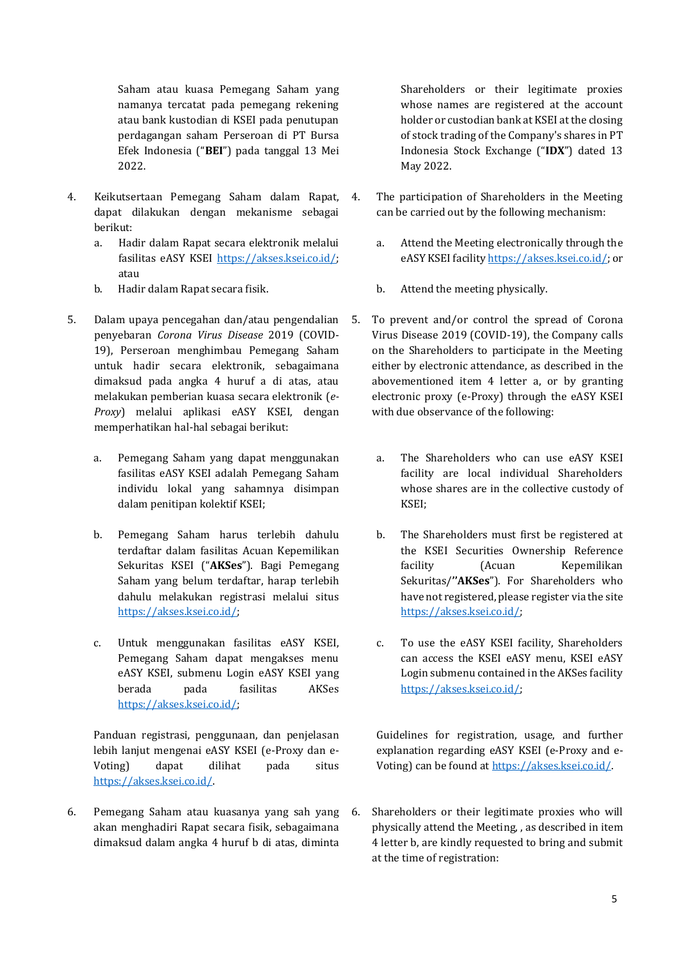Saham atau kuasa Pemegang Saham yang namanya tercatat pada pemegang rekening atau bank kustodian di KSEI pada penutupan perdagangan saham Perseroan di PT Bursa Efek Indonesia ("**BEI**") pada tanggal 13 Mei 2022.

- 4. Keikutsertaan Pemegang Saham dalam Rapat, dapat dilakukan dengan mekanisme sebagai berikut:
	- a. Hadir dalam Rapat secara elektronik melalui fasilitas eASY KSEI [https://akses.ksei.co.id/;](https://akses.ksei.co.id/) atau
	- b. Hadir dalam Rapat secara fisik.
- 5. Dalam upaya pencegahan dan/atau pengendalian penyebaran *Corona Virus Disease* 2019 (COVID-19), Perseroan menghimbau Pemegang Saham untuk hadir secara elektronik, sebagaimana dimaksud pada angka 4 huruf a di atas, atau melakukan pemberian kuasa secara elektronik (*e-Proxy*) melalui aplikasi eASY KSEI, dengan memperhatikan hal-hal sebagai berikut:
	- a. Pemegang Saham yang dapat menggunakan fasilitas eASY KSEI adalah Pemegang Saham individu lokal yang sahamnya disimpan dalam penitipan kolektif KSEI;
	- b. Pemegang Saham harus terlebih dahulu terdaftar dalam fasilitas Acuan Kepemilikan Sekuritas KSEI ("**AKSes**"). Bagi Pemegang Saham yang belum terdaftar, harap terlebih dahulu melakukan registrasi melalui situs [https://akses.ksei.co.id/;](https://akses.ksei.co.id/)
	- c. Untuk menggunakan fasilitas eASY KSEI, Pemegang Saham dapat mengakses menu eASY KSEI, submenu Login eASY KSEI yang berada pada fasilitas AKSes [https://akses.ksei.co.id/;](https://akses.ksei.co.id/)

Panduan registrasi, penggunaan, dan penjelasan lebih lanjut mengenai eASY KSEI (e-Proxy dan e-Voting) dapat dilihat pada situs [https://akses.ksei.co.id/.](https://akses.ksei.co.id/)

6. Pemegang Saham atau kuasanya yang sah yang akan menghadiri Rapat secara fisik, sebagaimana dimaksud dalam angka 4 huruf b di atas, diminta

Shareholders or their legitimate proxies whose names are registered at the account holder or custodian bank at KSEI at the closing of stock trading of the Company's shares in PT Indonesia Stock Exchange ("**IDX**") dated 13 May 2022.

- 4. The participation of Shareholders in the Meeting can be carried out by the following mechanism:
	- a. Attend the Meeting electronically through the eASY KSEI facilit[y https://akses.ksei.co.id/;](https://akses.ksei.co.id/) or
	- b. Attend the meeting physically.
- 5. To prevent and/or control the spread of Corona Virus Disease 2019 (COVID-19), the Company calls on the Shareholders to participate in the Meeting either by electronic attendance, as described in the abovementioned item 4 letter a, or by granting electronic proxy (e-Proxy) through the eASY KSEI with due observance of the following:
	- a. The Shareholders who can use eASY KSEI facility are local individual Shareholders whose shares are in the collective custody of KSEI;
	- b. The Shareholders must first be registered at the KSEI Securities Ownership Reference facility (Acuan Kepemilikan Sekuritas/**''AKSes**"). For Shareholders who have not registered, please register via the site [https://akses.ksei.co.id/;](https://akses.ksei.co.id/)
	- c. To use the eASY KSEI facility, Shareholders can access the KSEI eASY menu, KSEI eASY Login submenu contained in the AKSes facility [https://akses.ksei.co.id/;](https://akses.ksei.co.id/)

Guidelines for registration, usage, and further explanation regarding eASY KSEI (e-Proxy and e-Voting) can be found a[t https://akses.ksei.co.id/.](https://akses.ksei.co.id/)

6. Shareholders or their legitimate proxies who will physically attend the Meeting, , as described in item 4 letter b, are kindly requested to bring and submit at the time of registration: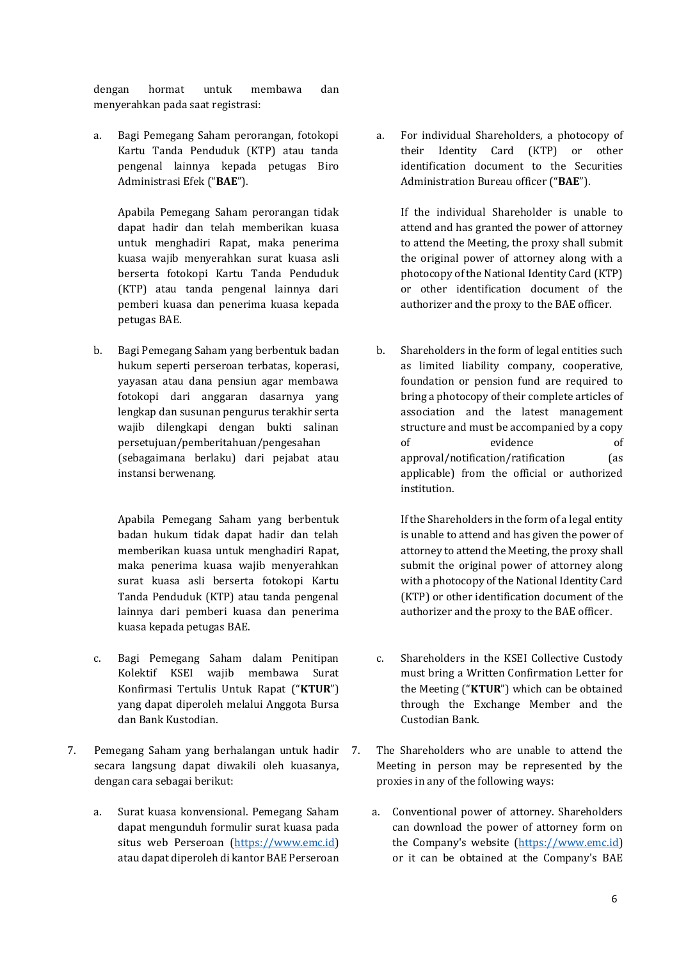dengan hormat untuk membawa dan menyerahkan pada saat registrasi:

a. Bagi Pemegang Saham perorangan, fotokopi Kartu Tanda Penduduk (KTP) atau tanda pengenal lainnya kepada petugas Biro Administrasi Efek ("**BAE**").

Apabila Pemegang Saham perorangan tidak dapat hadir dan telah memberikan kuasa untuk menghadiri Rapat, maka penerima kuasa wajib menyerahkan surat kuasa asli berserta fotokopi Kartu Tanda Penduduk (KTP) atau tanda pengenal lainnya dari pemberi kuasa dan penerima kuasa kepada petugas BAE.

b. Bagi Pemegang Saham yang berbentuk badan hukum seperti perseroan terbatas, koperasi, yayasan atau dana pensiun agar membawa fotokopi dari anggaran dasarnya yang lengkap dan susunan pengurus terakhir serta wajib dilengkapi dengan bukti salinan persetujuan/pemberitahuan/pengesahan (sebagaimana berlaku) dari pejabat atau instansi berwenang.

Apabila Pemegang Saham yang berbentuk badan hukum tidak dapat hadir dan telah memberikan kuasa untuk menghadiri Rapat, maka penerima kuasa wajib menyerahkan surat kuasa asli berserta fotokopi Kartu Tanda Penduduk (KTP) atau tanda pengenal lainnya dari pemberi kuasa dan penerima kuasa kepada petugas BAE.

- c. Bagi Pemegang Saham dalam Penitipan Kolektif KSEI wajib membawa Surat Konfirmasi Tertulis Untuk Rapat ("**KTUR**") yang dapat diperoleh melalui Anggota Bursa dan Bank Kustodian.
- 7. Pemegang Saham yang berhalangan untuk hadir secara langsung dapat diwakili oleh kuasanya, dengan cara sebagai berikut:
	- a. Surat kuasa konvensional. Pemegang Saham dapat mengunduh formulir surat kuasa pada situs web Perseroan [\(https://www.emc.id\)](https://www.emc.id/) atau dapat diperoleh di kantor BAE Perseroan

a. For individual Shareholders, a photocopy of their Identity Card (KTP) or other identification document to the Securities Administration Bureau officer ("**BAE**").

If the individual Shareholder is unable to attend and has granted the power of attorney to attend the Meeting, the proxy shall submit the original power of attorney along with a photocopy of the National Identity Card (KTP) or other identification document of the authorizer and the proxy to the BAE officer.

b. Shareholders in the form of legal entities such as limited liability company, cooperative, foundation or pension fund are required to bring a photocopy of their complete articles of association and the latest management structure and must be accompanied by a copy of evidence of approval/notification/ratification (as applicable) from the official or authorized institution.

If the Shareholders in the form of a legal entity is unable to attend and has given the power of attorney to attend the Meeting, the proxy shall submit the original power of attorney along with a photocopy of the National Identity Card (KTP) or other identification document of the authorizer and the proxy to the BAE officer.

- c. Shareholders in the KSEI Collective Custody must bring a Written Confirmation Letter for the Meeting ("**KTUR**") which can be obtained through the Exchange Member and the Custodian Bank.
- 7. The Shareholders who are unable to attend the Meeting in person may be represented by the proxies in any of the following ways:
	- a. Conventional power of attorney. Shareholders can download the power of attorney form on the Company's website [\(https://www.emc.id\)](https://www.emc.id/) or it can be obtained at the Company's BAE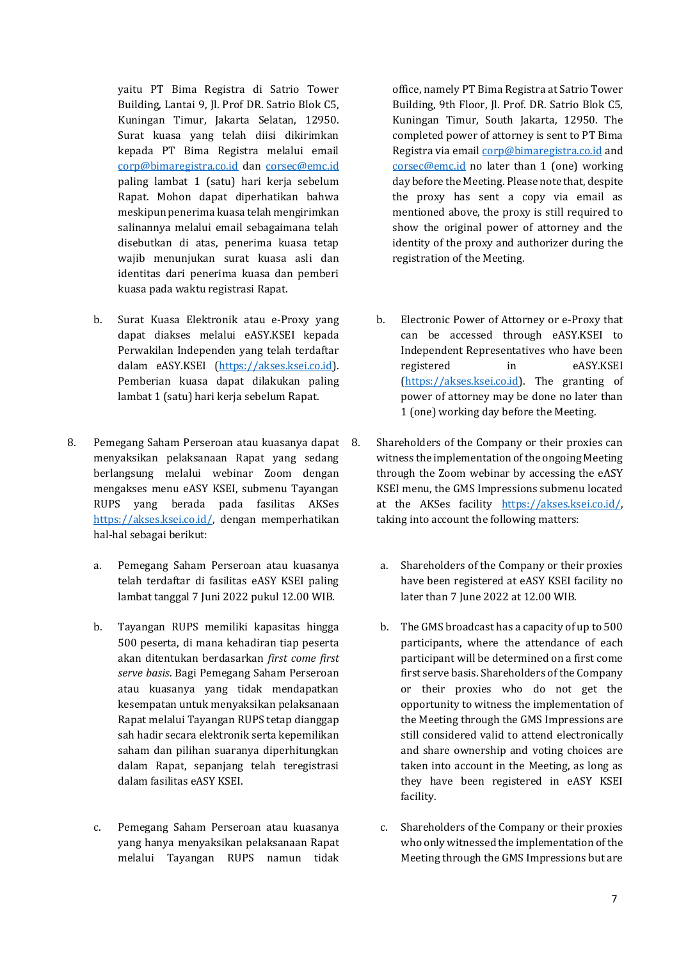yaitu PT Bima Registra di Satrio Tower Building, Lantai 9, Jl. Prof DR. Satrio Blok C5, Kuningan Timur, Jakarta Selatan, 12950. Surat kuasa yang telah diisi dikirimkan kepada PT Bima Registra melalui email [corp@bimaregistra.co.i](mailto:corp@bimaregistra.co)d dan [corsec@emc.id](mailto:corsec@emc.id) paling lambat 1 (satu) hari kerja sebelum Rapat. Mohon dapat diperhatikan bahwa meskipun penerima kuasa telah mengirimkan salinannya melalui email sebagaimana telah disebutkan di atas, penerima kuasa tetap wajib menunjukan surat kuasa asli dan identitas dari penerima kuasa dan pemberi kuasa pada waktu registrasi Rapat.

- b. Surat Kuasa Elektronik atau e-Proxy yang dapat diakses melalui eASY.KSEI kepada Perwakilan Independen yang telah terdaftar dalam eASY.KSEI [\(https://akses.ksei.co.id\)](https://akses.ksei.co.id/). Pemberian kuasa dapat dilakukan paling lambat 1 (satu) hari kerja sebelum Rapat.
- 8. Pemegang Saham Perseroan atau kuasanya dapat menyaksikan pelaksanaan Rapat yang sedang berlangsung melalui webinar Zoom dengan mengakses menu eASY KSEI, submenu Tayangan RUPS yang berada pada fasilitas AKSes [https://akses.ksei.co.id/,](https://akses.ksei.co.id/) dengan memperhatikan hal-hal sebagai berikut:
	- a. Pemegang Saham Perseroan atau kuasanya telah terdaftar di fasilitas eASY KSEI paling lambat tanggal 7 Juni 2022 pukul 12.00 WIB.
	- b. Tayangan RUPS memiliki kapasitas hingga 500 peserta, di mana kehadiran tiap peserta akan ditentukan berdasarkan *first come first serve basis*. Bagi Pemegang Saham Perseroan atau kuasanya yang tidak mendapatkan kesempatan untuk menyaksikan pelaksanaan Rapat melalui Tayangan RUPS tetap dianggap sah hadir secara elektronik serta kepemilikan saham dan pilihan suaranya diperhitungkan dalam Rapat, sepanjang telah teregistrasi dalam fasilitas eASY KSEI.
	- c. Pemegang Saham Perseroan atau kuasanya yang hanya menyaksikan pelaksanaan Rapat melalui Tayangan RUPS namun tidak

office, namely PT Bima Registra at Satrio Tower Building, 9th Floor, Jl. Prof. DR. Satrio Blok C5, Kuningan Timur, South Jakarta, 12950. The completed power of attorney is sent to PT Bima Registra via email [corp@bimaregistra.co.](mailto:corp@bimaregistra.co)id and [corsec@emc.id](mailto:corsec@emc.id) no later than 1 (one) working day before the Meeting. Please note that, despite the proxy has sent a copy via email as mentioned above, the proxy is still required to show the original power of attorney and the identity of the proxy and authorizer during the registration of the Meeting.

- b. Electronic Power of Attorney or e-Proxy that can be accessed through eASY.KSEI to Independent Representatives who have been registered in eASY.KSEI [\(https://akses.ksei.co.id\)](https://akses.ksei.co.id/). The granting of power of attorney may be done no later than 1 (one) working day before the Meeting.
- 8. Shareholders of the Company or their proxies can witness the implementation of the ongoing Meeting through the Zoom webinar by accessing the eASY KSEI menu, the GMS Impressions submenu located at the AKSes facility [https://akses.ksei.co.id/,](https://akses.ksei.co.id/)  taking into account the following matters:
	- a. Shareholders of the Company or their proxies have been registered at eASY KSEI facility no later than 7 June 2022 at 12.00 WIB.
	- b. The GMS broadcast has a capacity of up to 500 participants, where the attendance of each participant will be determined on a first come first serve basis. Shareholders of the Company or their proxies who do not get the opportunity to witness the implementation of the Meeting through the GMS Impressions are still considered valid to attend electronically and share ownership and voting choices are taken into account in the Meeting, as long as they have been registered in eASY KSEI facility.
	- c. Shareholders of the Company or their proxies who only witnessed the implementation of the Meeting through the GMS Impressions but are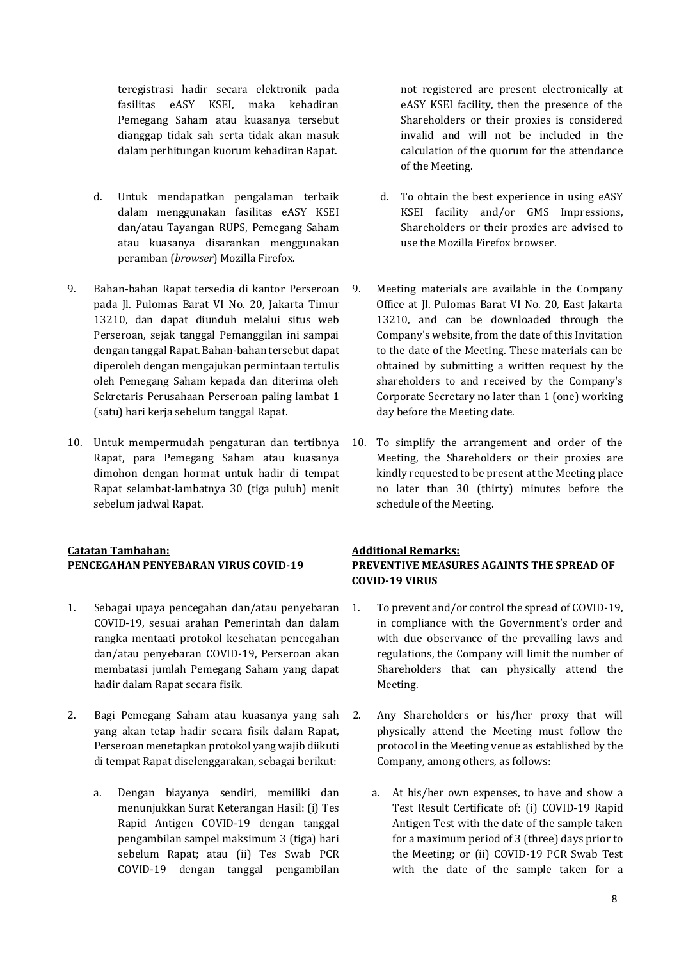teregistrasi hadir secara elektronik pada fasilitas eASY KSEI, maka kehadiran Pemegang Saham atau kuasanya tersebut dianggap tidak sah serta tidak akan masuk dalam perhitungan kuorum kehadiran Rapat.

- d. Untuk mendapatkan pengalaman terbaik dalam menggunakan fasilitas eASY KSEI dan/atau Tayangan RUPS, Pemegang Saham atau kuasanya disarankan menggunakan peramban (*browser*) Mozilla Firefox.
- 9. Bahan-bahan Rapat tersedia di kantor Perseroan pada Jl. Pulomas Barat VI No. 20, Jakarta Timur 13210, dan dapat diunduh melalui situs web Perseroan, sejak tanggal Pemanggilan ini sampai dengan tanggal Rapat. Bahan-bahan tersebut dapat diperoleh dengan mengajukan permintaan tertulis oleh Pemegang Saham kepada dan diterima oleh Sekretaris Perusahaan Perseroan paling lambat 1 (satu) hari kerja sebelum tanggal Rapat.
- 10. Untuk mempermudah pengaturan dan tertibnya Rapat, para Pemegang Saham atau kuasanya dimohon dengan hormat untuk hadir di tempat Rapat selambat-lambatnya 30 (tiga puluh) menit sebelum jadwal Rapat.

# **Catatan Tambahan: Additional Remarks:**

- 1. Sebagai upaya pencegahan dan/atau penyebaran COVID-19, sesuai arahan Pemerintah dan dalam rangka mentaati protokol kesehatan pencegahan dan/atau penyebaran COVID-19, Perseroan akan membatasi jumlah Pemegang Saham yang dapat hadir dalam Rapat secara fisik.
- 2. Bagi Pemegang Saham atau kuasanya yang sah yang akan tetap hadir secara fisik dalam Rapat, Perseroan menetapkan protokol yang wajib diikuti di tempat Rapat diselenggarakan, sebagai berikut:
	- a. Dengan biayanya sendiri, memiliki dan menunjukkan Surat Keterangan Hasil: (i) Tes Rapid Antigen COVID-19 dengan tanggal pengambilan sampel maksimum 3 (tiga) hari sebelum Rapat; atau (ii) Tes Swab PCR COVID-19 dengan tanggal pengambilan

not registered are present electronically at eASY KSEI facility, then the presence of the Shareholders or their proxies is considered invalid and will not be included in the calculation of the quorum for the attendance of the Meeting.

- d. To obtain the best experience in using eASY KSEI facility and/or GMS Impressions, Shareholders or their proxies are advised to use the Mozilla Firefox browser.
- 9. Meeting materials are available in the Company Office at Jl. Pulomas Barat VI No. 20, East Jakarta 13210, and can be downloaded through the Company's website, from the date of this Invitation to the date of the Meeting. These materials can be obtained by submitting a written request by the shareholders to and received by the Company's Corporate Secretary no later than 1 (one) working day before the Meeting date.
- 10. To simplify the arrangement and order of the Meeting, the Shareholders or their proxies are kindly requested to be present at the Meeting place no later than 30 (thirty) minutes before the schedule of the Meeting.

## **PENCEGAHAN PENYEBARAN VIRUS COVID-19 PREVENTIVE MEASURES AGAINTS THE SPREAD OF COVID-19 VIRUS**

- 1. To prevent and/or control the spread of COVID-19, in compliance with the Government's order and with due observance of the prevailing laws and regulations, the Company will limit the number of Shareholders that can physically attend the Meeting.
- 2. Any Shareholders or his/her proxy that will physically attend the Meeting must follow the protocol in the Meeting venue as established by the Company, among others, as follows:
	- a. At his/her own expenses, to have and show a Test Result Certificate of: (i) COVID-19 Rapid Antigen Test with the date of the sample taken for a maximum period of 3 (three) days prior to the Meeting; or (ii) COVID-19 PCR Swab Test with the date of the sample taken for a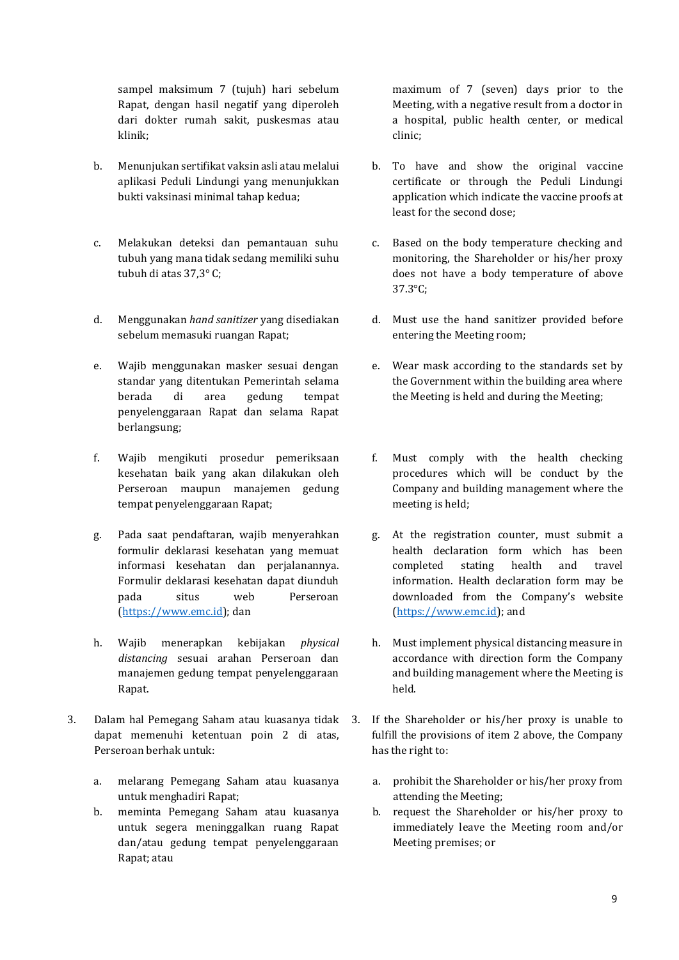sampel maksimum 7 (tujuh) hari sebelum Rapat, dengan hasil negatif yang diperoleh dari dokter rumah sakit, puskesmas atau klinik;

- b. Menunjukan sertifikat vaksin asli atau melalui aplikasi Peduli Lindungi yang menunjukkan bukti vaksinasi minimal tahap kedua;
- c. Melakukan deteksi dan pemantauan suhu tubuh yang mana tidak sedang memiliki suhu tubuh di atas 37,3° C;
- d. Menggunakan *hand sanitizer* yang disediakan sebelum memasuki ruangan Rapat;
- e. Wajib menggunakan masker sesuai dengan standar yang ditentukan Pemerintah selama berada di area gedung tempat penyelenggaraan Rapat dan selama Rapat berlangsung;
- f. Wajib mengikuti prosedur pemeriksaan kesehatan baik yang akan dilakukan oleh Perseroan maupun manajemen gedung tempat penyelenggaraan Rapat;
- g. Pada saat pendaftaran, wajib menyerahkan formulir deklarasi kesehatan yang memuat informasi kesehatan dan perjalanannya. Formulir deklarasi kesehatan dapat diunduh pada situs web Perseroan [\(https://www.emc.id\)](https://www.emc.id/); dan
- h. Wajib menerapkan kebijakan *physical distancing* sesuai arahan Perseroan dan manajemen gedung tempat penyelenggaraan Rapat.
- 3. Dalam hal Pemegang Saham atau kuasanya tidak dapat memenuhi ketentuan poin 2 di atas, Perseroan berhak untuk:
	- a. melarang Pemegang Saham atau kuasanya untuk menghadiri Rapat;
	- b. meminta Pemegang Saham atau kuasanya untuk segera meninggalkan ruang Rapat dan/atau gedung tempat penyelenggaraan Rapat; atau

maximum of 7 (seven) days prior to the Meeting, with a negative result from a doctor in a hospital, public health center, or medical clinic;

- b. To have and show the original vaccine certificate or through the Peduli Lindungi application which indicate the vaccine proofs at least for the second dose;
- c. Based on the body temperature checking and monitoring, the Shareholder or his/her proxy does not have a body temperature of above 37.3°C;
- d. Must use the hand sanitizer provided before entering the Meeting room;
- e. Wear mask according to the standards set by the Government within the building area where the Meeting is held and during the Meeting;
- f. Must comply with the health checking procedures which will be conduct by the Company and building management where the meeting is held;
- g. At the registration counter, must submit a health declaration form which has been completed stating health and travel information. Health declaration form may be downloaded from the Company's website [\(https://www.emc.id\)](https://www.emc.id/); and
- h. Must implement physical distancing measure in accordance with direction form the Company and building management where the Meeting is held.
- If the Shareholder or his/her proxy is unable to fulfill the provisions of item 2 above, the Company has the right to:
	- a. prohibit the Shareholder or his/her proxy from attending the Meeting;
	- b. request the Shareholder or his/her proxy to immediately leave the Meeting room and/or Meeting premises; or